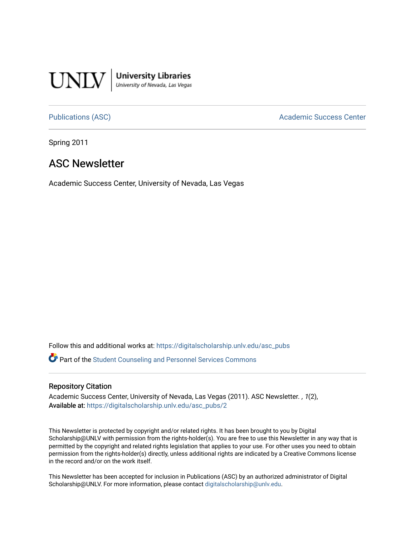

**University Libraries**<br>University of Nevada, Las Vegas

[Publications \(ASC\)](https://digitalscholarship.unlv.edu/asc_pubs) and a context of the Academic Success Center

Spring 2011

#### ASC Newsletter

Academic Success Center, University of Nevada, Las Vegas

Follow this and additional works at: [https://digitalscholarship.unlv.edu/asc\\_pubs](https://digitalscholarship.unlv.edu/asc_pubs?utm_source=digitalscholarship.unlv.edu%2Fasc_pubs%2F2&utm_medium=PDF&utm_campaign=PDFCoverPages) 

**P** Part of the Student Counseling and Personnel Services Commons

#### Repository Citation

Academic Success Center, University of Nevada, Las Vegas (2011). ASC Newsletter. , 1(2), Available at: [https://digitalscholarship.unlv.edu/asc\\_pubs/2](https://digitalscholarship.unlv.edu/asc_pubs/2) 

This Newsletter is protected by copyright and/or related rights. It has been brought to you by Digital Scholarship@UNLV with permission from the rights-holder(s). You are free to use this Newsletter in any way that is permitted by the copyright and related rights legislation that applies to your use. For other uses you need to obtain permission from the rights-holder(s) directly, unless additional rights are indicated by a Creative Commons license in the record and/or on the work itself.

This Newsletter has been accepted for inclusion in Publications (ASC) by an authorized administrator of Digital Scholarship@UNLV. For more information, please contact [digitalscholarship@unlv.edu.](mailto:digitalscholarship@unlv.edu)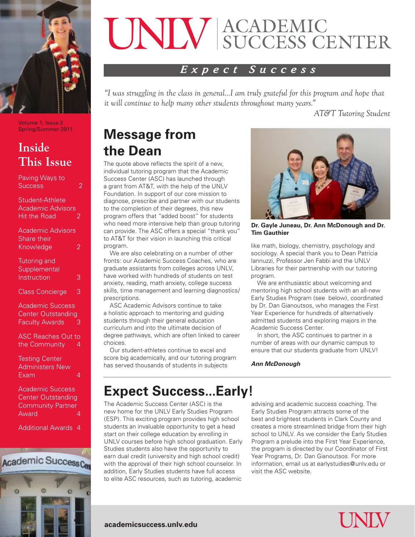

Volume 1, Issue 2 Spring/Summer 2011

### **Inside This Issue**

| Paving Ways to<br>Success                                                     | 2 |
|-------------------------------------------------------------------------------|---|
| Student-Athlete<br><b>Academic Advisors</b><br><b>Hit the Road</b>            | 2 |
| <b>Academic Advisors</b><br>Share their<br>Knowledge                          | 2 |
| <b>Tutoring and</b><br>Supplemental<br>Instruction                            | 3 |
| <b>Class Concierge</b>                                                        | 3 |
| <b>Academic Success</b><br><b>Center Outstanding</b><br><b>Faculty Awards</b> | З |
| <b>ASC Reaches Out to</b><br>the Community                                    | 4 |
| <b>Testing Center</b><br><b>Administers New</b><br>Exam                       | 4 |

Academic Success Center Outstanding Community Partner **Award** 

Additional Awards 4



# ACADEMIC SUCCESS CENTER

#### *Expect Success*

*"I was struggling in the class in general...I am truly grateful for this program and hope that it will continue to help many other students throughout many years."*

*AT&T Tutoring Student*

### **Message from the Dean**

The quote above reflects the spirit of a new, individual tutoring program that the Academic Success Center (ASC) has launched through a grant from AT&T, with the help of the UNLV Foundation. In support of our core mission to diagnose, prescribe and partner with our students to the completion of their degrees, this new program offers that "added boost" for students who need more intensive help than group tutoring can provide. The ASC offers a special "thank you" to AT&T for their vision in launching this critical program.

We are also celebrating on a number of other fronts: our Academic Success Coaches, who are graduate assistants from colleges across UNLV, have worked with hundreds of students on test anxiety, reading, math anxiety, college success skills, time management and learning diagnostics/ prescriptions.

ASC Academic Advisors continue to take a holistic approach to mentoring and guiding students through their general education curriculum and into the ultimate decision of degree pathways, which are often linked to career choices.

Our student-athletes continue to excel and score big academically, and our tutoring program has served thousands of students in subjects



**Dr. Gayle Juneau, Dr. Ann McDonough and Dr. Tim Gauthier**

like math, biology, chemistry, psychology and sociology. A special thank you to Dean Patricia Iannuzzi, Professor Jen Fabbi and the UNLV Libraries for their partnership with our tutoring program.

We are enthusiastic about welcoming and mentoring high school students with an all-new Early Studies Program (see below), coordinated by Dr. Dan Gianoutsos, who manages the First Year Experience for hundreds of alternatively admitted students and exploring majors in the Academic Success Center.

In short, the ASC continues to partner in a number of areas with our dynamic campus to ensure that our students graduate from UNLV!

#### *Ann McDonough*

### **Expect Success...Early!**

The Academic Success Center (ASC) is the new home for the UNLV Early Studies Program (ESP). This exciting program provides high school students an invaluable opportunity to get a head start on their college education by enrolling in UNLV courses before high school graduation. Early Studies students also have the opportunity to earn dual credit (university and high school credit) with the approval of their high school counselor. In addition, Early Studies students have full access to elite ASC resources, such as tutoring, academic

**academicsuccess.unlv.edu**

advising and academic success coaching. The Early Studies Program attracts some of the best and brightest students in Clark County and creates a more streamlined bridge from their high school to UNLV. As we consider the Early Studies Program a prelude into the First Year Experience, the program is directed by our Coordinator of First Year Programs, Dr. Dan Gianoutsos. For more information, email us at earlystudies@unlv.edu or visit the ASC website.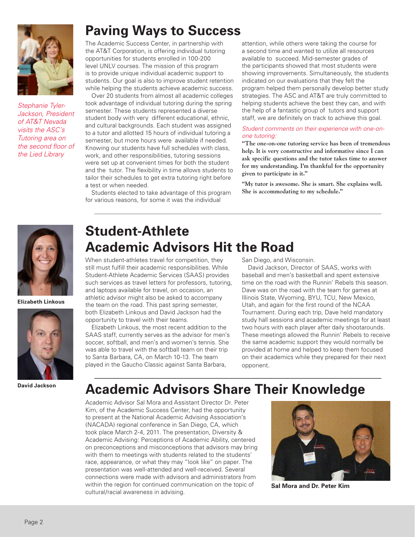

*Stephanie Tyler-Jackson, President of AT&T Nevada visits the ASC's Tutoring area on the second floor of the Lied Library*

### **Paving Ways to Success**

The Academic Success Center, in partnership with the AT&T Corporation, is offering individual tutoring opportunities for students enrolled in 100-200 level UNLV courses. The mission of this program is to provide unique individual academic support to students. Our goal is also to improve student retention while helping the students achieve academic success.

Over 20 students from almost all academic colleges took advantage of individual tutoring during the spring semester. These students represented a diverse student body with very different educational, ethnic, and cultural backgrounds. Each student was assigned to a tutor and allotted 15 hours of individual tutoring a semester, but more hours were available if needed. Knowing our students have full schedules with class, work, and other responsibilities, tutoring sessions were set up at convenient times for both the student and the tutor. The flexibility in time allows students to tailor their schedules to get extra tutoring right before a test or when needed.

Students elected to take advantage of this program for various reasons, for some it was the individual

attention, while others were taking the course for a second time and wanted to utilize all resources available to succeed. Mid-semester grades of the participants showed that most students were showing improvements. Simultaneously, the students indicated on our evaluations that they felt the program helped them personally develop better study strategies. The ASC and AT&T are truly committed to helping students achieve the best they can, and with the help of a fantastic group of tutors and support staff, we are definitely on track to achieve this goal.

#### *Student comments on their experience with one-onone tutoring:*

**"The one-on-one tutoring service has been of tremendous help. It is very constructive and informative since I can ask specific questions and the tutor takes time to answer for my understanding. I'm thankful for the opportunity given to participate in it."**

**"My tutor is awesome. She is smart. She explains well. She is accommodating to my schedule."**



**Elizabeth Linkous**



**David Jackson**

## **Student-Athlete Academic Advisors Hit the Road**

When student-athletes travel for competition, they still must fulfill their academic responsibilities. While Student-Athlete Academic Services (SAAS) provides such services as travel letters for professors, tutoring, and laptops available for travel, on occasion, an athletic advisor might also be asked to accompany the team on the road. This past spring semester, both Elizabeth Linkous and David Jackson had the opportunity to travel with their teams.

Elizabeth Linkous, the most recent addition to the SAAS staff, currently serves as the advisor for men's soccer, softball, and men's and women's tennis. She was able to travel with the softball team on their trip to Santa Barbara, CA, on March 10-13. The team played in the Gaucho Classic against Santa Barbara,

San Diego, and Wisconsin.

David Jackson, Director of SAAS, works with baseball and men's basketball and spent extensive time on the road with the Runnin' Rebels this season. Dave was on the road with the team for games at Illinois State, Wyoming, BYU, TCU, New Mexico, Utah, and again for the first round of the NCAA Tournament. During each trip, Dave held mandatory study hall sessions and academic meetings for at least two hours with each player after daily shootarounds. These meetings allowed the Runnin' Rebels to receive the same academic support they would normally be provided at home and helped to keep them focused on their academics while they prepared for their next opponent.

### **Academic Advisors Share Their Knowledge**

Academic Advisor Sal Mora and Assistant Director Dr. Peter Kim, of the Academic Success Center, had the opportunity to present at the National Academic Advising Association's (NACADA) regional conference in San Diego, CA, which took place March 2-4, 2011. The presentation, Diversity & Academic Advising: Perceptions of Academic Ability, centered on preconceptions and misconceptions that advisors may bring with them to meetings with students related to the students' race, appearance, or what they may "look like" on paper. The presentation was well-attended and well-received. Several connections were made with advisors and administrators from within the region for continued communication on the topic of cultural/racial awareness in advising.



**Sal Mora and Dr. Peter Kim**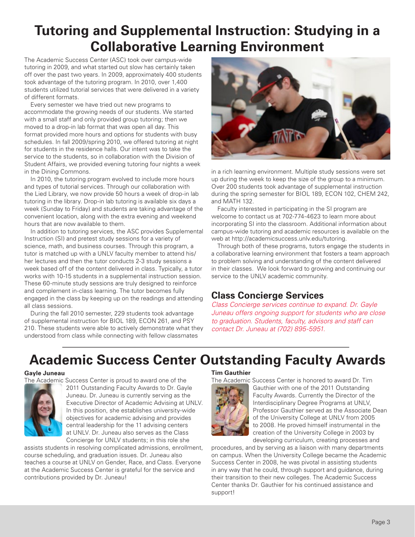### **Tutoring and Supplemental Instruction: Studying in a Collaborative Learning Environment**

The Academic Success Center (ASC) took over campus-wide tutoring in 2009, and what started out slow has certainly taken off over the past two years. In 2009, approximately 400 students took advantage of the tutoring program. In 2010, over 1,400 students utilized tutorial services that were delivered in a variety of different formats.

Every semester we have tried out new programs to accommodate the growing needs of our students. We started with a small staff and only provided group tutoring; then we moved to a drop-in lab format that was open all day. This format provided more hours and options for students with busy schedules. In fall 2009/spring 2010, we offered tutoring at night for students in the residence halls. Our intent was to take the service to the students, so in collaboration with the Division of Student Affairs, we provided evening tutoring four nights a week in the Dining Commons.

In 2010, the tutoring program evolved to include more hours and types of tutorial services. Through our collaboration with the Lied Library, we now provide 50 hours a week of drop-in lab tutoring in the library. Drop-in lab tutoring is available six days a week (Sunday to Friday) and students are taking advantage of the convenient location, along with the extra evening and weekend hours that are now available to them.

In addition to tutoring services, the ASC provides Supplemental Instruction (SI) and pretest study sessions for a variety of science, math, and business courses. Through this program, a tutor is matched up with a UNLV faculty member to attend his/ her lectures and then the tutor conducts 2-3 study sessions a week based off of the content delivered in class. Typically, a tutor works with 10-15 students in a supplemental instruction session. These 60-minute study sessions are truly designed to reinforce and complement in-class learning. The tutor becomes fully engaged in the class by keeping up on the readings and attending all class sessions.

During the fall 2010 semester, 229 students took advantage of supplemental instruction for BIOL 189, ECON 261, and PSY 210. These students were able to actively demonstrate what they understood from class while connecting with fellow classmates



in a rich learning environment. Multiple study sessions were set up during the week to keep the size of the group to a minimum. Over 200 students took advantage of supplemental instruction during the spring semester for BIOL 189, ECON 102, CHEM 242, and MATH 132.

Faculty interested in participating in the SI program are welcome to contact us at 702-774-4623 to learn more about incorporating SI into the classroom. Additional information about campus-wide tutoring and academic resources is available on the web at http://academicsuccess.unlv.edu/tutoring.

Through both of these programs, tutors engage the students in a collaborative learning environment that fosters a team approach to problem solving and understanding of the content delivered in their classes. We look forward to growing and continuing our service to the UNLV academic community.

#### **Class Concierge Services**

*Class Concierge services continue to expand. Dr. Gayle Juneau offers ongoing support for students who are close to graduation. Students, faculty, advisors and staff can contact Dr. Juneau at (702) 895-5951.*

### **Academic Success Center Outstanding Faculty Awards**

#### **Gayle Juneau**

The Academic Success Center is proud to award one of the



2011 Outstanding Faculty Awards to Dr. Gayle Juneau. Dr. Juneau is currently serving as the Executive Director of Academic Advising at UNLV. In this position, she establishes university-wide objectives for academic advising and provides central leadership for the 11 advising centers at UNLV. Dr. Juneau also serves as the Class Concierge for UNLV students; in this role she

assists students in resolving complicated admissions, enrollment, course scheduling, and graduation issues. Dr. Juneau also teaches a course at UNLV on Gender, Race, and Class. Everyone at the Academic Success Center is grateful for the service and contributions provided by Dr. Juneau!

#### **Tim Gauthier**



The Academic Success Center is honored to award Dr. Tim Gauthier with one of the 2011 Outstanding Faculty Awards. Currently the Director of the Interdisciplinary Degree Programs at UNLV, Professor Gauthier served as the Associate Dean of the University College at UNLV from 2005 to 2008. He proved himself instrumental in the creation of the University College in 2003 by developing curriculum, creating processes and

procedures, and by serving as a liaison with many departments on campus. When the University College became the Academic Success Center in 2008, he was pivotal in assisting students in any way that he could, through support and guidance, during their transition to their new colleges. The Academic Success Center thanks Dr. Gauthier for his continued assistance and support!